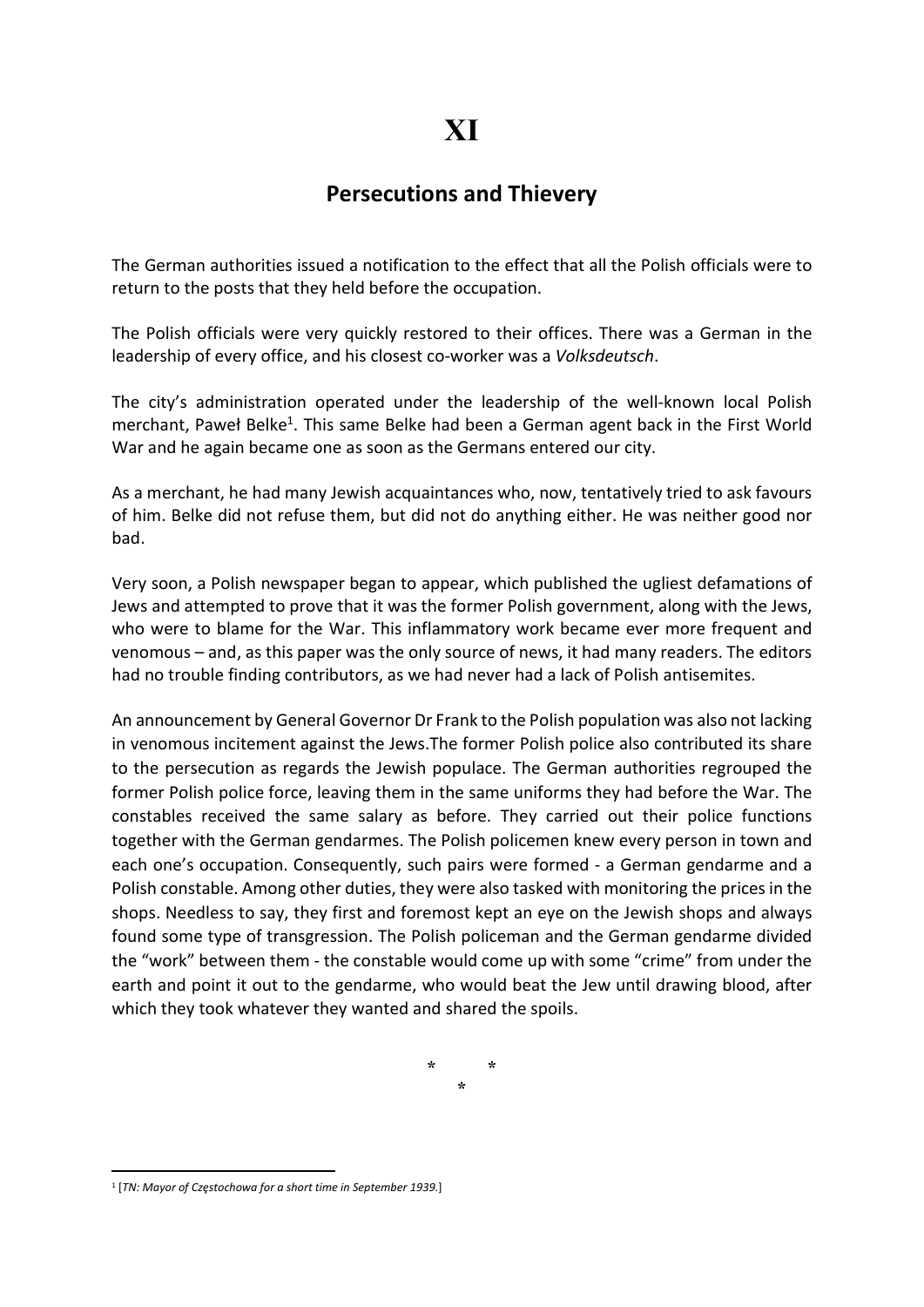## Persecutions and Thievery

The German authorities issued a notification to the effect that all the Polish officials were to return to the posts that they held before the occupation.

The Polish officials were very quickly restored to their offices. There was a German in the leadership of every office, and his closest co-worker was a Volksdeutsch.

The city's administration operated under the leadership of the well-known local Polish merchant, Paweł Belke<sup>1</sup>. This same Belke had been a German agent back in the First World War and he again became one as soon as the Germans entered our city.

As a merchant, he had many Jewish acquaintances who, now, tentatively tried to ask favours of him. Belke did not refuse them, but did not do anything either. He was neither good nor bad.

Very soon, a Polish newspaper began to appear, which published the ugliest defamations of Jews and attempted to prove that it was the former Polish government, along with the Jews, who were to blame for the War. This inflammatory work became ever more frequent and venomous – and, as this paper was the only source of news, it had many readers. The editors had no trouble finding contributors, as we had never had a lack of Polish antisemites.

An announcement by General Governor Dr Frank to the Polish population was also not lacking in venomous incitement against the Jews.The former Polish police also contributed its share to the persecution as regards the Jewish populace. The German authorities regrouped the former Polish police force, leaving them in the same uniforms they had before the War. The constables received the same salary as before. They carried out their police functions together with the German gendarmes. The Polish policemen knew every person in town and each one's occupation. Consequently, such pairs were formed - a German gendarme and a Polish constable. Among other duties, they were also tasked with monitoring the prices in the shops. Needless to say, they first and foremost kept an eye on the Jewish shops and always found some type of transgression. The Polish policeman and the German gendarme divided the "work" between them - the constable would come up with some "crime" from under the earth and point it out to the gendarme, who would beat the Jew until drawing blood, after which they took whatever they wanted and shared the spoils.

> \* \* \*

<sup>&</sup>lt;sup>1</sup> [TN: Mayor of Częstochowa for a short time in September 1939.]